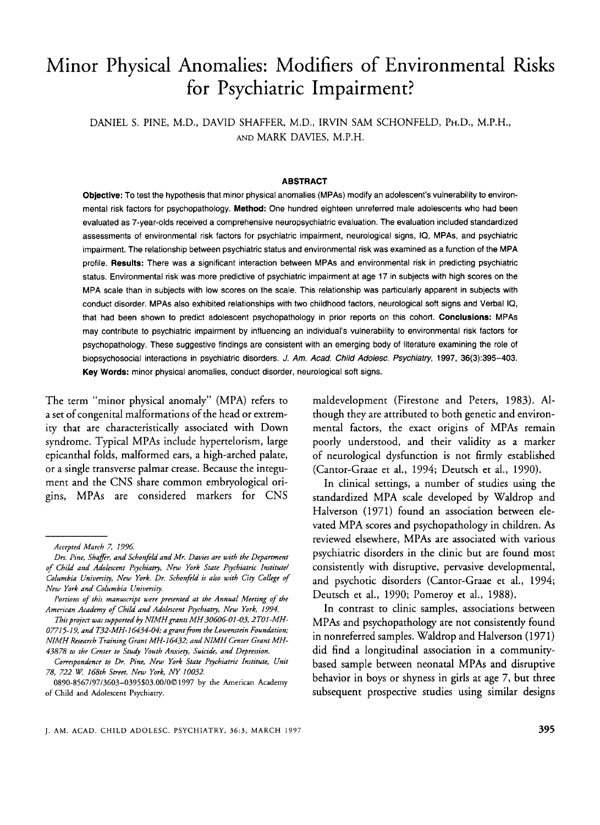# Minor Physical Anomalies: Modifiers of Environmental Risks for Psychiatric Impairment?

DANIEL S. PINE, M.D., DAVID SHAFFER, M.D., IRVIN SAM SCHONFELD, PH.D., M.P.H., AND MARK DAVIES, M.P.H.

#### **ABSTRACT**

**Objective:** To test the hypothesis that minor physical anomalies (MPAs) modify an adolescent's vulnerability to environmental risk factors for psychopathology. **Method:** One hundred eighteen unreferred male adolescents who had been evaluated as 7-year-olds received a comprehensive neuropsychiatric evaluation. The evaluation included standardized assessments of environmental risk factors for psychiatric impairment, neurological signs, IQ, MPAs, and psychiatric impairment. The relationship between psychiatric status and environmental risk was examined as a function of the MPA profile. **Results:** There was a significant interaction between MPAs and environmental risk in predicting psychiatric status. Environmental risk was more predictive of psychiatric impairment at age 17 in subjects with high scores on the MPA scale than in subjects with low scores on the scale. This relationship was particularly apparent in subjects with conduct disorder. MPAs also exhibited relationships with two childhood factors, neurological soft signs and Verbal IQ, that had been shown to predict adolescent psychopathology in prior reports on this cohort. **Conclusions:** MPAs may contribute to psychiatric impairment by influencing an individual's vulnerability to environmental risk factors for psychopathology. These suggestive findings are consistent with an emerging body of literature examining the role of biopsychosocial interactions in psychiatric disorders. *J. Am. Acad. Child Adolesc. Psychiahy,* 1997, 36(3):395-403. **Key Words:** minor physical anomalies, conduct disorder, neurological soft signs.

The term "minor physical anomaly" (MPA) refers to a set of congenital malformations of the head or extremity that are characteristically associated with Down syndrome. Typical MPAs include hypertelorism, large epicanthal folds, malformed ears, a high-arched palate, or a single transverse palmar crease. Because the integument and the CNS share common embryological origins, MPAs are considered markers for CNS

This project was supported by NIMH grants MH 30606-01-03, 2T01-MH-*07715-17, and T32-MH-16434-04; a grantffom the Lowenstein Foundation; NIMH Research Training Grant MH-16432; and NIMH Center Grant MH-43878 to the Center to Study Youth Anxiety, Suicide, and Depression.* 

maldevelopment (Firestone and Peters, 1983). Although they are attributed to both genetic and environmental factors, the exact origins of MPAs remain poorly understood, and their validity as a marker of neurological dysfunction is not firmly established (Cantor-Graae et al., 1994; Deutsch et al., 1990).

In clinical settings, a number of studies using the standardized MPA scale developed by Waldrop and Halverson (1971) found an association between elevated MPA scores and psychopathology in children. **As**  reviewed elsewhere, MPAs are associated with various psychiatric disorders in the clinic but are found most consistently with disruptive, pervasive developmental, and psychotic disorders (Cantor-Graae et al., 1994; Deutsch et al., 1990; Pomeroy et al., 1988).

In contrast to clinic samples, associations between MPAs and psychopathology are not consistently found in nonreferred samples. Waldrop and Halverson (1971) did find a longitudinal association in a communitybased sample between neonatal MPAs and disruptive behavior in boys or shyness in girls at age 7, but three subsequent prospective studies using similar designs

*Accepted March 7, I776* 

*Drs. Pine, Shaffer, and Schonfld and Mr. Davies are with the Department of Child and Adolescent Psychiatry, New York State Psychiatric Institute/ Columbia University, New York. Dr. Schonfld is alro with City College of New York and Columbia University.* 

*Pom'ons of this manuscript were presented at the Annual Meeting of the American Academy of Child and Adolescent Psychiatry, New York, 1774.* 

*Correspondence to Dr. Pine, New York State Psychiatric Institute, Unit 78, 722 W. 168th Street, New York, NY 10032.* 

<sup>0890-8567/97/3603-0395\$03.00/001997</sup> by the American Academy of Child and Adolescent Psychiatry.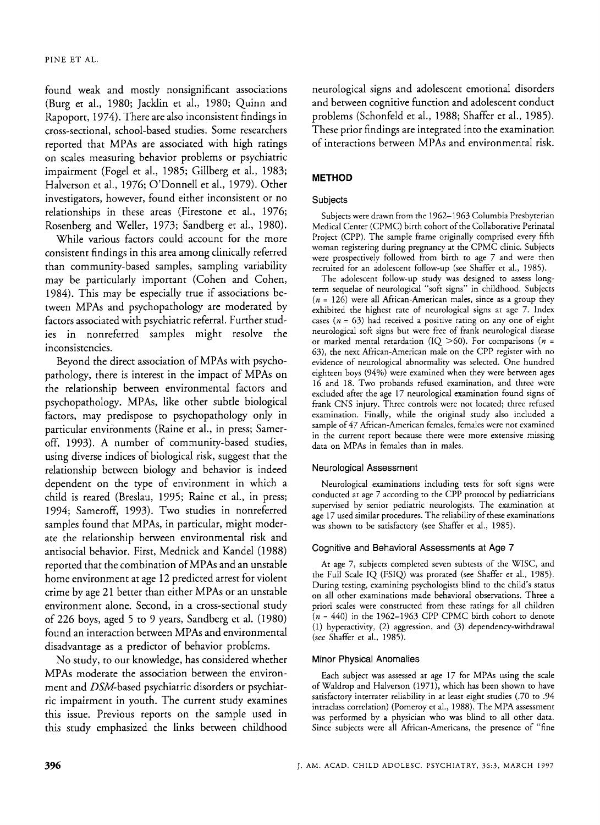found weak and mostly nonsignificant associations (Burg et al., 1980; Jacklin et al., 1980; Quinn and Rapoport, 1974). There are also inconsistent findings in cross-sectional, school-based studies. Some researchers reported that MPAs are associated with high ratings on scales measuring behavior problems or psychiatric impairment (Fogel et al., 1985; Gillberg et al., 1983; Halverson et al., 1976; O'Donnell et al., 1979). Other investigators, however, found either inconsistent or no relationships in these areas (Firestone et al., 1976; Rosenberg and Weller, 1973; Sandberg et al., 1980).

While various factors could account for the more consistent findings in this area among clinically referred than community-based samples, sampling variability may be particularly important (Cohen and Cohen, 1984). This may be especially true if associations between MPAs and psychopathology are moderated by factors associated with psychiatric referral. Further studies in nonreferred samples might resolve the inconsistencies.

Beyond the direct association of MPAs with psychopathology, there is interest in the impact of MPAs on the relationship between environmental factors and psychopathology. MPAs, like other subtle biological factors, may predispose to psychopathology only in particular environments (Raine et al., in press; Sameroff, 1993). A number of community-based studies, using diverse indices of biological risk, suggest that the relationship between biology and behavior is indeed dependent on the type of environment in which a child is reared (Breslau, 1995; Raine et al., in press; 1994; Sameroff, 1993). Two studies in nonreferred samples found that MPAs, in particular, might moderate the relationship between environmental risk and antisocial behavior. First, Mednick and Kandel (1988) reported that the combination of MPAs and an unstable home environment at age 12 predicted arrest for violent crime by age 21 better than either MPAs or an unstable environment alone. Second, in a cross-sectional study of 226 boys, aged *5* to 9 years, Sandberg et al. (1980) found an interaction between MPAs and environmental disadvantage as a predictor of behavior problems.

No study, to our knowledge, has considered whether MPAs moderate the association between the environment and DSM-based psychiatric disorders or psychiatric impairment in youth. The current study examines this issue. Previous reports on the sample used in this study emphasized the links between childhood neurological signs and adolescent emotional disorders and between cognitive function and adolescent conduct problems (Schonfeld et al., 1988; Shaffer et al., 1985). These prior findings are integrated into the examination of interactions between MPAs and environmental risk.

# **METHOD**

## Subjects

Subjects were drawn from the 1962-1963 Columbia Presbyterian Medical Center (CPMC) birth cohort of the Collaborative Perinatal Project (CPP). The sample frame originally comprised every fifth woman registering during pregnancy at the CPMC clinic. Subjects were prospectively followed from birth to age 7 and were then recruited for an adolescent follow-up (see Shaffer et al., 1985).

The adolescent follow-up study was designed to assess longterm sequelae of neurological "soft signs" in childhood. Subjects *(n* = 126) were all African-American males, since as a group they exhibited the highest rate of neurological signs at age 7. Index cases *(n* = 63) had received a positive rating on any one of eight neurological soft signs but were free of frank neurological disease or marked mental retardation (IQ >60). For comparisons *(n* = 63), the next African-American male on the CPP register with no evidence of neurological abnormality was selected. One hundred eighteen boys (94%) were examined when they were between ages 16 and 18. Two probands refused examination, and three were excluded after the age 17 neurological examination found signs of frank CNS injury. Three controls were not located; three refused examination. Finally, while the original study also included a sample of 47 African-American females, females were not examined in the current report because there were more extensive missing data on MPAs in females than in males.

## Neurological Assessment

Neurological examinations including tests for soft signs were conducted at age 7 according to the CPP protocol by pediatricians supervised by senior pediatric neurologists. The examination at age 17 used similar procedures. The reliability of these examinations was shown to be satisfactory (see Shaffer et al., 1985).

## Cognitive and Behavioral Assessments at Age 7

At age 7, subjects completed seven subtests of the WISC, and the Full Scale IQ (FSIQ) was prorated (see Shaffer et al., 1985). During testing, examining psychologists blind to the child's status on all other examinations made behavioral observations. Three a priori scales were constructed from these ratings for all children  $(n = 440)$  in the 1962–1963 CPP CPMC birth cohort to denote (1) hyperactivity, (2) aggression, and (3) dependency-withdrawal (see Shaffer et al., 1985).

## Minor Physical Anomalies

Each subject was assessed at age 17 for MPAs using the scale of Waldrop and Halverson (1971), which has been shown to have satisfactory interrater reliability in at least eight studies (.70 to *.94*  intraclass correlation) (Pomeroy et **al.,** 1988). The MPA assessment was performed by a physician who was blind to all other data. Since subjects were all African-Americans, the presence of "fine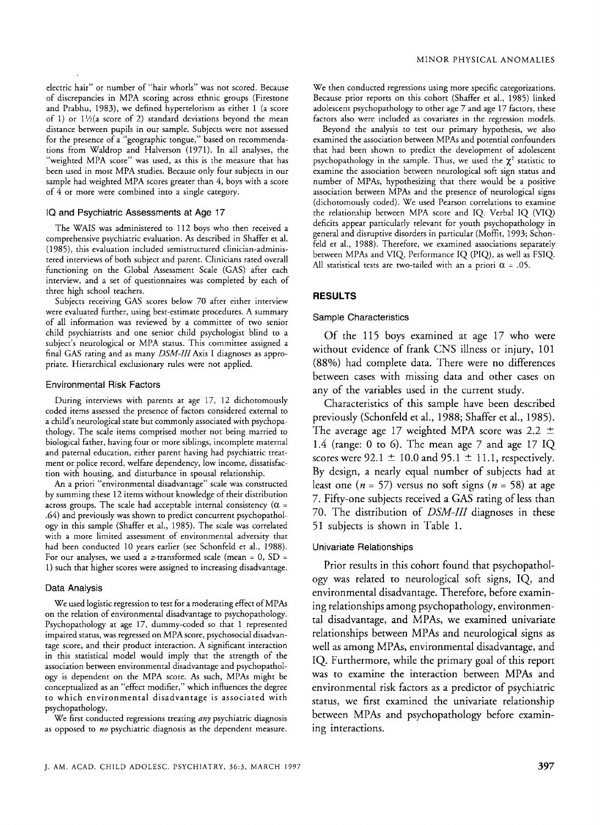electric hair" or number of "hair whorls" was not scored. Because of discrepancies in MPA scoring across ethnic groups (Firestone and Prabhu, 1983), we defined hypertelorism as either 1 (a score of 1) or  $1\frac{1}{2}$  (a score of 2) standard deviations beyond the mean distance between pupils in our sample. Subjects were not assessed for the presence of a "geographic tongue," based on recommendations from Waldrop and Halverson (1971). In all analyses, the 'weighted MPA score" was used, as this is the measure that has been used in most MPA studies. Because only four subjects in our sample had weighted MPA scores greater than *4,* boys with a score of *4* or more were combined into a single category.

#### **IQ** and Psychiatric Assessments at Age 17

The WAIS was administered to 112 boys who then received a comprehensive psychiatric evaluation. As described in Shaffer et al. (1383, this evaluation included semistructured clinician-administered interviews of both subject and parent. Clinicians rated overall functioning on the Global Assessment Scale (GAS) after each interview, and a set of questionnaires was completed by each of three high school teachers.

Subjects receiving GAS scores below 70 after either interview were evaluated further, using best-estimate procedures. A summary of all information was reviewed by a committee of two senior child psychiatrists and one senior child psychologist blind to a subject's neurological or MPA status. This committee assigned a final GAS rating and as many  $DSM-III$  Axis I diagnoses as appropriate. Hierarchical exclusionary rules were not applied.

#### Environmental Risk Factors

During interviews with parents at age 17, 12 dichotomously coded items assessed the presence of factors considered external to a child's neurological state but commonly associated with psychopathology. The scale items comprised mother not being married to biological father, having four or more siblings, incomplete maternal and paternal education, either parent having had psychiatric treatment or police record, welfare dependency, low income, dissatisfaction with housing, and disturbance in spousal relationship.

*An* a priori "environmental disadvantage" scale was constructed by summing these 12 items without knowledge of their distribution across groups. The scale had acceptable internal consistency  $(\alpha =$ *.64)* and previously was shown to predict concurrent psychopathology in this sample (Shaffer et al., 1985). The scale was correlated with a more limited assessment of environmental adversity that had been conducted 10 years earlier (see Schonfeld et **al.,** 1988). For our analyses, we used a z-transformed scale (mean =  $0$ , SD = 1) such that higher scores were assigned to increasing disadvantage.

#### Data Analysis

We used logistic regression to test for a moderating effect of MPAs on the relation of environmental disadvantage ro psychopathology. Psychopathology at age 17, dummy-coded so that 1 represented impaired status, was regressed on MPA score, psychosocial disadvantage score, and their product interaction. A significant interaction in this statistical model would imply that the strength of the association between environmental disadvantage and psychopathology is dependent on the MPA score. **As** such, MPAs might be conceptualized **as** an "effect modifier," which influences the degree to which environmental disadvantage is associated with psychopathology.

We first conducted regressions treating *any* psychiatric diagnosis as opposed to *no* psychiatric diagnosis as the dependent measure.

We then conducted regressions using more specific categorizations. Because prior reports on this cohort (Shaffer et al., 1985) linked adolescent psychopathology to other age 7 and age 17 factors, these factors also were included as covariates in the regression models.

Beyond the analysis to test our primary hypothesis, we also examined the association between MPAs and potential confounders that had been shown to predict the development of adolescent psychopathology in the sample. Thus, we used the  $\chi^2$  statistic to examine the association between neurological soft sign status and number of MPAs, hypothesizing that there would be a positive association between MPAs and the presence of neurological signs (dichotomously coded). We used Pearson correlations to examine the relationship between MPA score and IQ. Verbal IQ (VIQ deficits appear particularly relevant for youth psychopathology in general and disruptive disorders in particular (Moffit, 1993; Schonfeld et al., 1988). Therefore, we examined associations separately between MPAs and VIQ, Performance IQ (PIQ, as well **as** FSIQ. All statistical tests are two-tailed with an a priori  $\alpha = .05$ .

#### **RESULTS**

### Sample Characteristics

Of the 115 boys examined at age 17 who were without evidence of frank CNS illness or injury, 101 (88%) had complete data. There were no differences between cases with missing data and other cases on any of the variables used in the current study.

Characteristics of this sample have been described previously (Schonfeld et al., 1988; Shaffer et al., 1985). The average age 17 weighted MPA score was 2.2  $\pm$ 1.4 (range: 0 to **6).** The mean age 7 and age 17 IQ scores were  $92.1 \pm 10.0$  and  $95.1 \pm 11.1$ , respectively. By design, a nearly equal number of subjects had at least one  $(n = 57)$  versus no soft signs  $(n = 58)$  at age 7. Fifty-one subjects received a GAS rating of less than 70. The distribution of *DSM-111* diagnoses in these 51 subjects is shown in Table 1.

#### Univariate Relationships

Prior results in this cohort found that psychopathology was related to neurological soft signs, IQ, and environmental disadvantage. Therefore, before examining relationships among psychopathology, environmental disadvantage, and MPAs, we examined univariate relationships between MPAs and neurological signs as well as among MPAs, environmental disadvantage, and IQ. Furthermore, while the primary goal of this report was to examine the interaction between MPAs and environmental risk factors as a predictor of psychiatric status, we first examined the univariate relationship between MPAs and psychopathology before examining interactions.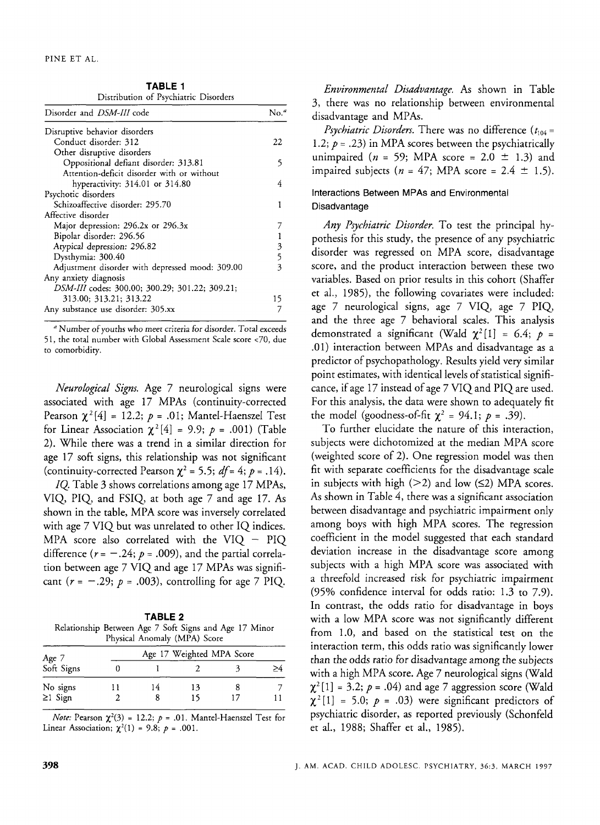**TABLE 1**  Distribution of Psychiatric Disorders

| Distribution of Legenment Disoratio             |                                 |
|-------------------------------------------------|---------------------------------|
| Disorder and DSM-III code                       | $No.$ <sup><math>a</math></sup> |
| Disruptive behavior disorders                   |                                 |
| Conduct disorder: 312                           | 22                              |
| Other disruptive disorders                      |                                 |
| Oppositional defiant disorder: 313.81           | 5                               |
| Attention-deficit disorder with or without      |                                 |
| hyperactivity: 314.01 or 314.80                 | 4                               |
| Psychotic disorders                             |                                 |
| Schizoaffective disorder: 295.70                |                                 |
| Affective disorder                              |                                 |
| Major depression: 296.2x or 296.3x              |                                 |
| Bipolar disorder: 296.56                        |                                 |
| Atypical depression: 296.82                     | $\mathfrak z$                   |
| Dysthymia: 300.40                               | 5                               |
| Adjustment disorder with depressed mood: 309.00 | 3                               |
| Any anxiety diagnosis                           |                                 |
| DSM-III codes: 300.00; 300.29; 301.22; 309.21;  |                                 |
| 313.00; 313.21; 313.22                          | 15                              |
| Any substance use disorder: 305.xx              |                                 |

<sup>a</sup> Number of youths who meet criteria for disorder. Total exceeds 51, the total number with Global Assessment Scale score <70, due to comorbidity.

*Neurological Signs.* Age 7 neurological signs were associated with age 17 MPAs (continuity-corrected Pearson  $\chi^2[4] = 12.2; p = .01;$  Mantel-Haenszel Test for Linear Association  $\chi^2[4] = 9.9; p = .001$ ) (Table 2). While there was a trend in a similar direction for age 17 soft signs, this relationship was not significant (continuity-corrected Pearson  $\chi^2$  = 5.5; *df* = 4; *p* = .14).

*IQ.* Table 3 shows correlations among age 17 MPAs, VIQ, PIQ, and FSIQ, at both age 7 and age 17. As shown in the table, MPA score was inversely correlated with age 7 VIQ but was unrelated to other IQ indices. MPA score also correlated with the VIQ  $-$  PIQ difference  $(r = -.24; p = .009)$ , and the partial correlation between age 7 VIQ and age 17 MPAs was significant  $(r = -.29; p = .003)$ , controlling for age 7 PIQ.

| TABLE 2                                                |                              |  |  |  |  |  |  |  |  |
|--------------------------------------------------------|------------------------------|--|--|--|--|--|--|--|--|
| Relationship Between Age 7 Soft Signs and Age 17 Minor |                              |  |  |  |  |  |  |  |  |
|                                                        | Physical Anomaly (MPA) Score |  |  |  |  |  |  |  |  |

|                     |    |    | Age 17 Weighted MPA Score |  |
|---------------------|----|----|---------------------------|--|
| Age 7<br>Soft Signs |    |    |                           |  |
|                     | 14 | 13 |                           |  |
| No signs<br>≥1 Sign |    |    |                           |  |

*Note:* Pearson  $\chi^2(3) = 12.2$ ;  $p = .01$ . Mantel-Haenszel Test for Linear Association;  $\chi^2(1) = 9.8; p = .001$ .

*Environmental Disadvantage.* **As** shown in Table 3, there was no relationship between environmental disadvantage and MPAs.

*Psychiatric Disorders.* There was no difference  $(t_{104} =$ 1.2;  $p = .23$ ) in MPA scores between the psychiatrically unimpaired ( $n = 59$ ; MPA score = 2.0  $\pm$  1.3) and impaired subjects  $(n = 47; \text{MPA score} = 2.4 \pm 1.5)$ .

## Interactions Between **MPAs** and Environmental Disadvantage

*Any Psychiatric Disorder.* To test the principal hypothesis for this study, the presence of any psychiatric disorder was regressed on MPA score, disadvantage score, and the product interaction between these two variables. Based on prior results in this cohort (Shaffer et al., 1985), the following covariates were included: age 7 neurological signs, age 7 VIQ, age 7 PIQ, and the three age 7 behavioral scales. This analysis demonstrated a significant (Wald  $\chi^2[1] = 6.4$ ;  $p =$ .Ol) interaction between MPAs and disadvantage as a predictor of psychopathology. Results yield very similar point estimates, with identical levels of statistical significance, if age 17 instead of age 7 VIQ and PIQ are used. For this analysis, the data were shown to adequately fit the model (goodness-of-fit  $\chi^2 = 94.1$ ;  $p = .39$ ).

To further elucidate the nature of this interaction, subjects were dichotomized at the median MPA score (weighted score of 2). One regression model was then fit with separate coefficients for the disadvantage scale in subjects with high  $(>2)$  and low  $(≤2)$  MPA scores. **As** shown in Table 4, there was a significant association between disadvantage and psychiatric impairment only among boys with high MPA scores. The regression coefficient in the model suggested that each standard deviation increase in the disadvantage score among subjects with a high MPA score was associated with a threefold increased risk for psychiatric impairment (95% confidence interval for odds ratio: 1.3 to 7.9). In contrast, the odds ratio for disadvantage in boys with a low MPA score was not significantly different from 1.0, and based on the statistical test on the interaction term, this odds ratio was significantly lower than the odds ratio for disadvantage among the subjects with a high MPA score. Age 7 neurological signs (Wald  $\chi^2$ [1] = 3.2; *p* = .04) and age 7 aggression score (Wald  $\chi^2[1] = 5.0; p = .03$ ) were significant predictors of psychiatric disorder, as reported previously (Schonfeld et al., 1988; Shaffer et al., 1985).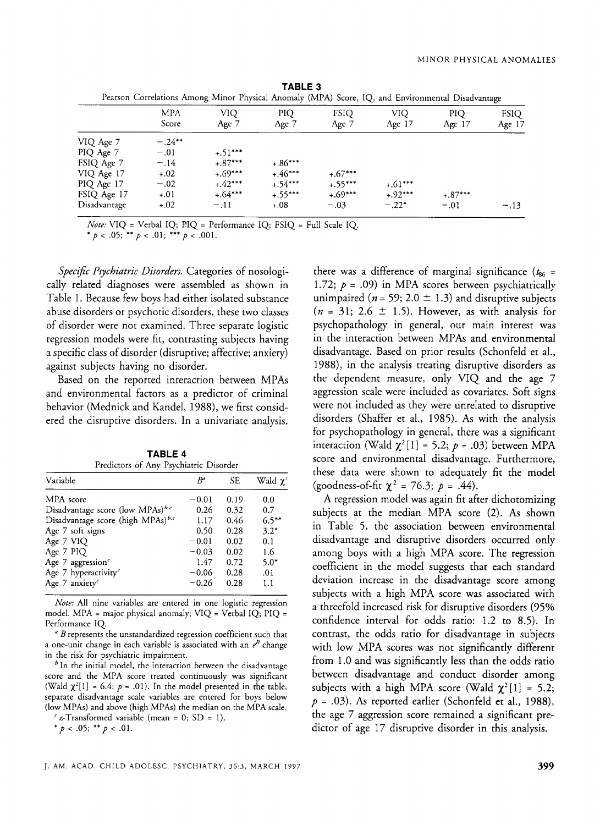|              | Pearson Correlations Among Minor Physical Anomaly (MPA) Score, IQ, and Environmental Disadvantage |              |              |                      |                 |                |                         |
|--------------|---------------------------------------------------------------------------------------------------|--------------|--------------|----------------------|-----------------|----------------|-------------------------|
|              | MPA<br>Score                                                                                      | VIQ<br>Age 7 | PIO<br>Age 7 | <b>FSIQ</b><br>Age 7 | VIO<br>Age $17$ | PIQ.<br>Age 17 | <b>FSIO</b><br>Age $17$ |
| VIQ Age 7    | $-.24**$                                                                                          |              |              |                      |                 |                |                         |
| PIQ Age 7    | $-.01$                                                                                            | $+.51***$    |              |                      |                 |                |                         |
| FSIQ Age 7   | $-.14$                                                                                            | $+.87***$    | $+.86***$    |                      |                 |                |                         |
| VIQ Age 17   | $+.02$                                                                                            | $+.69***$    | $+.46***$    | $+.67***$            |                 |                |                         |
| PIQ Age 17   | $-.02$                                                                                            | $+.42***$    | $+.54***$    | $+.55***$            | $+.61***$       |                |                         |
| FSIQ Age 17  | $+.01$                                                                                            | $+.64***$    | $+.55***$    | $+.69***$            | $+.92***$       | $+.87***$      |                         |
| Disadvantage | $+.02$                                                                                            | $-.11$       | $+.08$       | $-.03$               | $-.22*$         | $-.01$         | $-.13$                  |

| TABLE 3                                                                                           |  |  |  |  |  |  |
|---------------------------------------------------------------------------------------------------|--|--|--|--|--|--|
| Pearson Correlations Among Minor Physical Anomaly (MPA) Score, IQ, and Environmental Disadvantage |  |  |  |  |  |  |

*Note:* VIQ = Verbal IQ; PIQ = Performance IQ; FSIQ = Full Scale IQ.

*\*p* < **.05;** *\*\*p* < **.01;** *\*\*\*p* < **.001.** 

*Speczjic Psychiatric Disorders.* Categories of nosologically related diagnoses were assembled as shown in Table 1. Because few boys had either isolated substance abuse disorders or psychotic disorders, these two classes of disorder were not examined. Three separate logistic regression models were fit, contrasting subjects having a specific class of disorder (disruptive; affective; anxiety) against subjects having no disorder.

Based on the reported interaction between MPAs and environmental factors as a predictor of criminal behavior (Mednick and Kandel, 1988), we first considered the disruptive disorders. In a univariate analysis,

**TABLE 4**  Predictors of Any Psychiatric Disorder

| Variable                                      | $R^a$   | <b>SE</b> | Wald $\chi^2$ |  |  |  |
|-----------------------------------------------|---------|-----------|---------------|--|--|--|
| MPA score                                     | $-0.01$ | 0.19      | 0.0           |  |  |  |
| Disadvantage score (low MPAs) <sup>b,c</sup>  | 0.26    | 0.32      | 0.7           |  |  |  |
| Disadvantage score (high MPAs) <sup>b,c</sup> | 1.17    | 0.46      | $6.5***$      |  |  |  |
| Age 7 soft signs                              | 0.50    | 0.28      | $3.2*$        |  |  |  |
| Age 7 VIQ                                     | $-0.01$ | 0.02      | 0.1           |  |  |  |
| Age 7 PIQ                                     | $-0.03$ | 0.02      | 1.6           |  |  |  |
| Age 7 aggression <sup>c</sup>                 | 1.47    | 0.72      | $5.0*$        |  |  |  |
| Age 7 hyperactivity <sup>c</sup>              | $-0.06$ | 0.28      | .01           |  |  |  |
| Age 7 anxiety <sup><math>c</math></sup>       | $-0.26$ | 0.28      | 1.1           |  |  |  |
|                                               |         |           |               |  |  |  |

*Note:* All nine variables are entered in one logistic regression model. MPA = major physical anomaly; VIQ = Verbal IQ; PIQ = Performance IQ.

*B* represents the unstandardized regression coefficient such that a one-unit change in each variable is associated with an  $e^B$  change in the risk for psychiatric impairment.

 $<sup>b</sup>$  In the initial model, the interaction between the disadvantage</sup> score and the MPA score treated continuously was significant (Wald  $\chi^2[1] = 6.4$ ;  $p = .01$ ). In the model presented in the table, separate disadvantage scale variables are entered for boys below (low MPAs) and above (high MPAs) the median on the MPA scale.

 $c$  *z*-Transformed variable (mean = 0; SD = 1).

*\*p* < **.05;** *\*\*p* < **.01.** 

there was a difference of marginal significance  $(t_{86} =$ 1.72;  $p = .09$ ) in MPA scores between psychiatrically unimpaired ( $n = 59$ ; 2.0  $\pm$  1.3) and disruptive subjects  $(n = 31; 2.6 \pm 1.5)$ . However, as with analysis for psychopathology in general, our main interest was in the interaction between MPAs and environmental disadvantage. Based on prior results (Schonfeld et al., 1988), in the analysis treating disruptive disorders as the dependent measure, only VIQ and the age 7 aggression scale were included as covariates. Soft signs were not included as they were unrelated to disruptive disorders (Shaffer et al., 1985). As with the analysis for psychopathology in general, there was a significant interaction (Wald  $\chi^2[1] = 5.2$ ;  $p = .03$ ) between MPA score and environmental disadvantage. Furthermore, these data were shown to adequately fit the model (goodness-of-fit  $\chi^2$  = 76.3; *p* = .44).

A regression model was again fit after dichotomizing subjects at the median MPA score (2). As shown in Table 5, the association between environmental disadvantage and disruptive disorders occurred only among boys with a high MPA score. The regression coefficient in the model suggests that each standard deviation increase in the disadvantage score among subjects with a high MPA score was associated with a threefold increased risk for disruptive disorders (95% confidence interval for odds ratio: 1.2 to 8.5). In contrast, the odds ratio for disadvantage in subjects with low MPA scores was not significantly different from 1.0 and was significantly less than the odds ratio between disadvantage and conduct disorder among subjects with a high MPA score (Wald  $\chi^2[1] = 5.2$ ;  $p = .03$ ). As reported earlier (Schonfeld et al., 1988), the age 7 aggression score remained a significant predictor of age 17 disruptive disorder in this analysis.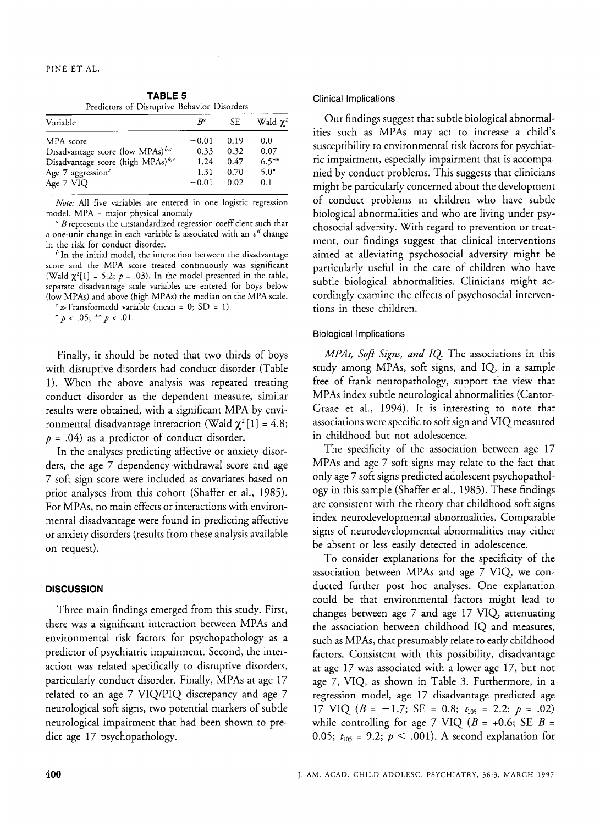**TABLE 5**  Predictors of Disruptive Behavior Disorders

| Variable                                      | $B^a$   | SE.  | Wald $\chi^2$ |
|-----------------------------------------------|---------|------|---------------|
| MPA score                                     | $-0.01$ | 0.19 | 0.0           |
| Disadvantage score (low MPAs) <sup>b,c</sup>  | 0.33    | 0.32 | 0.07          |
| Disadvantage score (high MPAs) <sup>b,c</sup> | 1.24    | 0.47 | $6.5***$      |
| Age 7 aggression <sup>c</sup>                 | 1.31    | 0.70 | $5.0*$        |
| Age 7 VIQ                                     | $-0.01$ | 0.02 | 0.1           |

*Note:* All five variables are entered in one logistic regression model. MPA = major physical anomaly

*<sup>a</sup>B* represents the unstandardized regression coefficient such that a one-unit change in each variable is associated with an  $e^B$  change in the risk for conduct disorder.

 $<sup>b</sup>$  In the initial model, the interaction between the disadvantage</sup> score and the MPA score treated continuously was significant (Wald  $\chi^2[1] = 5.2; p = .03$ ). In the model presented in the table, separate disadvantage scale variables are entered for boys below (low MPAs) and above (high MPAs) the median on the MPA scale.

 $\epsilon$  z-Transformedd variable (mean = 0; SD = 1).  $\frac{*}{p}$  < .05;  $\frac{**}{p}$  < .01.

Finally, it should be noted that two thirds of boys with disruptive disorders had conduct disorder (Table 1). When the above analysis was repeated treating conduct disorder as the dependent measure, similar results were obtained, with a significant MPA by environmental disadvantage interaction (Wald  $\chi^2[1] = 4.8$ ;  $p = .04$ ) as a predictor of conduct disorder.

In the analyses predicting affective or anxiety disorders, the age 7 dependency-withdrawal score and age 7 soft sign score were included as covariates based on prior analyses from this cohort (Shaffer et al., 1985). For MPAs, no main effects or interactions with environmental disadvantage were found in predicting affective or anxiety disorders (results from these analysis available on request).

## **DISCUSSION**

Three main findings emerged from this study. First, there was a significant interaction between MPAs and environmental risk factors for psychopathology as a predictor of psychiatric impairment. Second, the interaction was related specifically to disruptive disorders, particularly conduct disorder. Finally, MPAs at age 17 related to an age 7 VIQ/PIQ discrepancy and age 7 neurological soft signs, two potential markers of subtle neurological impairment that had been shown to predict age 17 psychopathology.

**Clinical Implications** 

Our findings suggest that subtle biological abnormalities such as MPAs may act to increase a child's susceptibility to environmental risk factors for psychiatric impairment, especially impairment that is accompanied by conduct problems. This suggests that clinicians might be particularly concerned about the development of conduct problems in children who have subtle biological abnormalities and who are living under psychosocial adversity. With regard to prevention or treatment, our findings suggest that clinical interventions aimed at alleviating psychosocial adversity might be particularly useful in the care of children who have subtle biological abnormalities. Clinicians might accordingly examine the effects of psychosocial interventions in these children.

## Biological Implications

*MPAs, Soft Signs, and IQ.* The associations in this study among MPAs, soft signs, and IQ, in a sample free of frank neuropathology, support the view that MPAs index subtle neurological abnormalities (Cantor-Graae et al., 1994). It is interesting to note that associations were specific to soft sign and VIQ measured in childhood but not adolescence.

The specificity of the association between age 17 MPAs and age 7 soft signs may relate to the fact that only age 7 soft signs predicted adolescent psychopathology in this sample (Shaffer et al., 1985). These findings are consistent with the theory that childhood soft signs index neurodevelopmental abnormalities. Comparable signs of neurodevelopmental abnormalities may either be absent or less easily detected in adolescence.

To consider explanations for the specificity of the association between MPAs and age 7 VIQ, we conducted further post hoc analyses. One explanation could be that environmental factors might lead to changes between age 7 and age 17 VIQ, attenuating the association between childhood IQ and measures, such as MPAs, that presumably relate to early childhood factors. Consistent with this possibility, disadvantage at age 17 was associated with a lower age 17, but not age 7, VIQ, as shown in Table 3. Furthermore, in a regression model, age 17 disadvantage predicted age while controlling for age 7 VIQ  $(B = +0.6; SEB =$ 0.05;  $t_{105}$  = 9.2;  $p < .001$ ). A second explanation for 17 VIQ  $(B = -1.7; SE = 0.8; t_{105} = 2.2; p = .02)$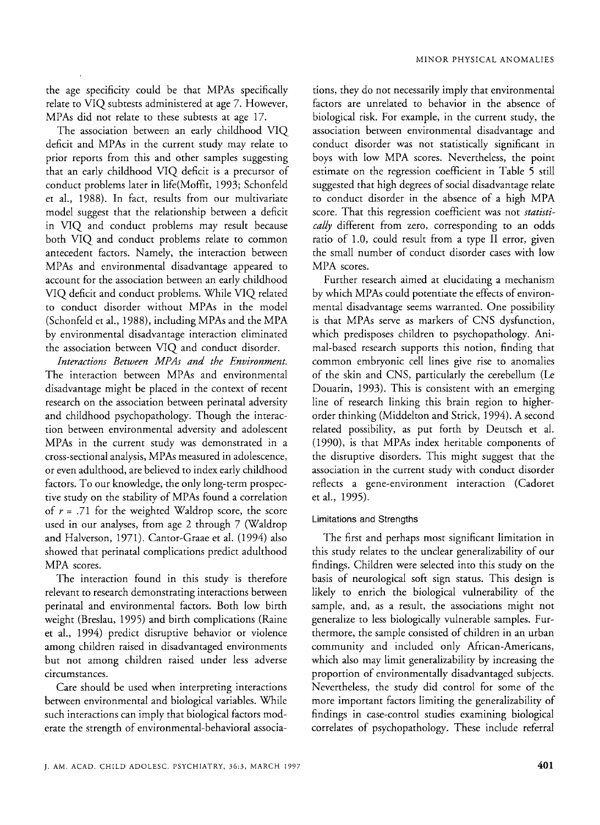the age specificity could be that MPAs specifically relate to VIQ subtests administered at age 7. However, MPAs did not relate to these subtests at age 17.

The association between an early childhood VIQ deficit and MPAs in the current study may relate to prior reports from this and other samples suggesting that an early childhood VIQ deficit is a precursor of conduct problems later in life(Moffit, 1993; Schonfeld et al., 1988). In fact, results from our multivariate model suggest that the relationship between a deficit in VIQ and conduct problems may result because both VIQ and conduct problems relate to common antecedent factors. Namely, the interaction between MPAs and environmental disadvantage appeared to account for the association between an early childhood VIQ deficit and conduct problems. While VIQ related to conduct disorder without MPAs in the model (Schonfeld et al., 1988), including MPAs and the MPA by environmental disadvantage interaction eliminated the association between VIQ and conduct disorder.

*Interactions Between MPAs and the Environment.*  The interaction between MPAs and environmental disadvantage might be placed in the context of recent research on the association between perinatal adversity and childhood psychopathology. Though the interaction between environmental adversity and adolescent MPAs in the current study was demonstrated in a cross-sectional analysis, MPAs measured in adolescence, or even adulthood, are believed to index early childhood factors. To our knowledge, the only long-term prospective study on the stability of MPAs found a correlation of  $r = .71$  for the weighted Waldrop score, the score used in our analyses, from age 2 through *7* (Waldrop and Halverson, 1971). Cantor-Graae et al. (1994) also showed that perinatal complications predict adulthood MPA scores.

The interaction found in this study is therefore relevant to research demonstrating interactions between perinatal and environmental factors. Both low birth weight (Breslau, 1995) and birth complications (Raine et al., 1994) predict disruptive behavior or violence among children raised in disadvantaged environments but not among children raised under less adverse circumstances.

Care should be used when interpreting interactions between environmental and biological variables. While such interactions can imply that biological factors moderate the strength of environmental-behavioral associations, they do not necessarily imply that environmental factors are unrelated to behavior in the absence of biological risk. For example, in the current study, the association between environmental disadvantage and conduct disorder was not statistically significant in boys with low MPA scores. Nevertheless, the point estimate on the regression coefficient in Table 5 still suggested that high degrees of social disadvantage relate to conduct disorder in the absence of a high MPA score. That this regression coefficient was not *statistically* different from zero, corresponding to an odds ratio of 1.0, could result from a type I1 error, given the small number of conduct disorder cases with low MPA scores.

Further research aimed at elucidating a mechanism by which MPAs could potentiate the effects of environmental disadvantage seems warranted. One possibility is that MPAs serve as markers of CNS dysfunction, which predisposes children to psychopathology. Animal-based research supports this notion, finding that common embryonic cell lines give rise to anomalies of the skin and CNS, particularly the cerebellum (Le Douarin, 1993). This is consistent with an emerging line of research linking this brain region to higherorder thinking (Middelton and Strick, 1994). A second related possibility, as put forth by Deutsch et al. (1990), is that MPAs index heritable components of the disruptive disorders. This might suggest that the association in the current study with conduct disorder reflects a gene-environment interaction (Cadoret et al., 1995).

## Limitations and Strengths

The first and perhaps most significant limitation in this study relates to the unclear generalizability of our findings. Children were selected into this study on the basis of neurological soft sign status. This design is likely to enrich the biological vulnerability of the sample, and, as a result, the associations might not generalize to less biologically vulnerable samples. Furthermore, the sample consisted of children in an urban community and included only African-Americans, which also may limit generalizability by increasing the proportion of environmentally disadvantaged subjects. Nevertheless, the study did control for some of the more important factors limiting the generalizability of findings in case-control studies examining biological correlates of psychopathology. These include referral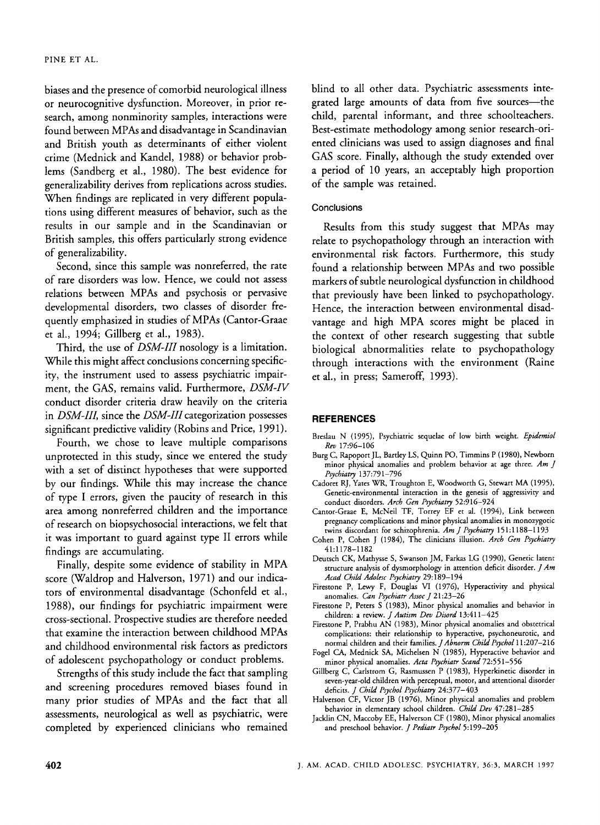biases and the presence of comorbid neurological illness or neurocognitive dysfunction. Moreover, in prior research, among nonminority samples, interactions were found between MPAs and disadvantage in Scandinavian and British youth as determinants of either violent crime (Mednick and Kandel, 1988) or behavior problems (Sandberg et al., 1980). The best evidence for generalizability derives from replications across studies. When findings are replicated in very different populations using different measures of behavior, such as the results in our sample and in the Scandinavian or British samples, this offers particularly strong evidence of generalizability.

Second, since this sample was nonreferred, the rate of rare disorders was low. Hence, we could not assess relations between MPAs and psychosis or pervasive developmental disorders, two classes of disorder frequently emphasized in studies of MPAs (Cantor-Graae et al., 1994; Gillberg et al., 1983).

Third, the use of *DSM-III* nosology is a limitation. While this might affect conclusions concerning specificity, the instrument used to assess psychiatric impairment, the GAS, remains valid. Furthermore, *DSM-N*  conduct disorder criteria draw heavily on the criteria in *DSM-III*, since the *DSM-III* categorization possesses significant predictive validity (Robins and Price, 1991).

Fourth, we chose to leave multiple comparisons unprotected in this study, since we entered the study with a set of distinct hypotheses that were supported by our findings. While this may increase the chance of type I errors, given the paucity of research in this area among nonreferred children and the importance of research on biopsychosocial interactions, we felt that it was important to guard against type II errors while findings are accumulating.

Finally, despite some evidence of stability in MPA score (Waldrop and Halverson, 1971) and our indicators of environmental disadvantage (Schonfeld et al., 1988), our findings for psychiatric impairment were cross-sectional. Prospective studies are therefore needed that examine the interaction between childhood MPAs and childhood environmental risk factors as predictors of adolescent psychopathology or conduct problems.

Strengths of this study include the fact that sampling and screening procedures removed biases found in many prior studies of MPAs and the fact that all assessments, neurological as well as psychiatric, were completed by experienced clinicians who remained blind to all other data. Psychiatric assessments integrated large amounts of data from five sources-the child, parental informant, and three schoolteachers. Best-estimate methodology among senior research-oriented clinicians was used to assign diagnoses and final GAS score. Finally, although the study extended over a period of 10 years, an acceptably high proportion of the sample was retained.

## **Conclusions**

Results from this study suggest that MPAs may relate to psychopathology through an interaction with environmental risk factors. Furthermore, this study found a relationship between MPAs and two possible markers of subtle neurological dysfunction in childhood that previously have been linked to psychopathology. Hence, the interaction between environmental disadvantage and high MPA scores might be placed in the context of other research suggesting that subtle biological abnormalities relate to psychopathology through interactions with the environment (Raine et al., in press; Sameroff, 1993).

## **REFERENCES**

- Breslau N (1995), Psychiatric sequelae **of** low birth weight. *Epidemiol Rev* 17:96-106
- Burg C, Rapoport JL, Bartley LS, Quinn PO, Timmins **P** (1980). Newborn minor physical anomalies and problem behavior at age three. *Am J Psychiatry* 137:791-796
- Cadoret **RJ,** Yates WR, Troughton E, Woodworth G, Stewart **MA** (1995), Genetic-environmental interaction in the genesis of aggressivity and conduct disorders. *Arch Gen Psychiatry* 52:916-924
- Cantor-Graae **E,** McNeil TF, Torrey EF et al. (1994), Link between pregnancy complications and minor physical anomalies in monozygotic twins discordant for schizophrenia. *Am J Psychiatry* 15 1 : 1 188-1 193
- Cohen **P,** Cohen J (1984), The clinicians illusion. *Arch Gen Psychiatry*  41:1178-1182
- Deutsch CK, Mathysse S, Swanson JM, Farkas LG (1990), Genetic latent structure analysis of dysmorphology in attention deficit disorder. *J Am Acad Child Adolesc Psychiatry* 29: 189-1 94
- Firestone P, Lewy F, Douglas VI (1976), Hyperactivity and physical anomalies. *Can Psychiatr Assor J* 21:23-26
- Firestone P, Peters S (1983), Minor physical anomalies and behavior in children: a review. *J Autism Dev Disord* 13:411-425
- Firestone P, Prabhu AN (1983), Minor physical anomalies and obstetrical complications: their relationship to hyperactive, psychoneurotic, and normal children and their families. *JAbnorm Child Psychol* 11:207-216
- Fogel CA, Mednick SA, Michelsen N (1985), Hyperactive behavior and minor physical anomalies. *Acta Psychian Scand* 72:55 1-556
- Gillberg C, Carlstrom G, Rasmussen P (1983), Hyperkinetic disorder in seven-year-old children with perceptual, motor, and attentional disorder deficits. *J Child Psychol Psychiatry* 24377-403
- Halverson CF, Victor JB (1976). Minor physical anomalies and problem behavior in elementary school children. *Child Dev* 47:281-285
- Jacklin CN, Maccoby EE, Halverson CF (1980), Minor physical anomalies and preschool behavior. *J Pediatr Psychol* 5:199-205